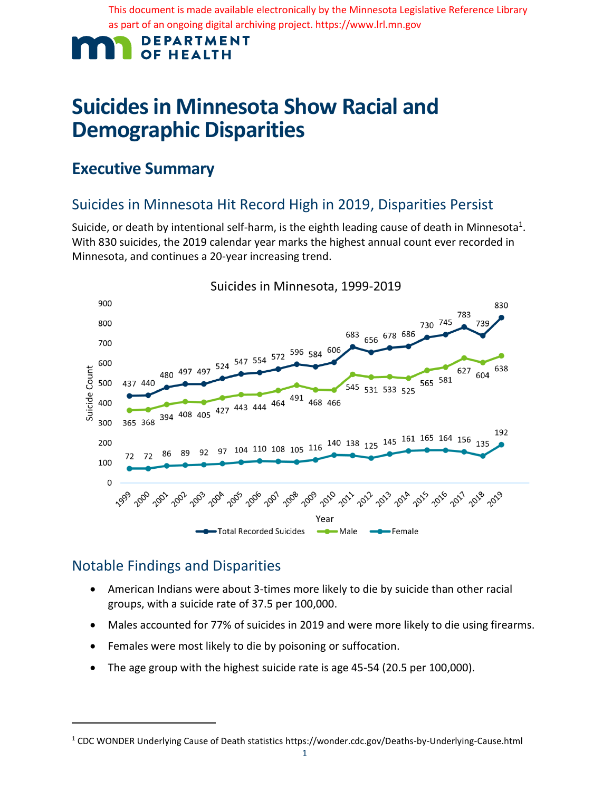This document is made available electronically by the Minnesota Legislative Reference Library as part of an ongoing digital archiving project. https://www.lrl.mn.gov

#### **DEPARTMENT OF HEALTH**

# **Suicides in Minnesota Show Racial and Demographic Disparities**

## **Executive Summary**

### Suicides in Minnesota Hit Record High in 2019, Disparities Persist

Suicide, or death by intentional self-harm, is the eighth leading cause of death in Minnesota<sup>1</sup>. With 830 suicides, the 2019 calendar year marks the highest annual count ever recorded in Minnesota, and continues a 20-year increasing trend.



Suicides in Minnesota, 1999-2019

### Notable Findings and Disparities

- American Indians were about 3-times more likely to die by suicide than other racial groups, with a suicide rate of 37.5 per 100,000.
- Males accounted for 77% of suicides in 2019 and were more likely to die using firearms.
- Females were most likely to die by poisoning or suffocation.
- The age group with the highest suicide rate is age 45-54 (20.5 per 100,000).

<sup>1</sup> CDC WONDER Underlying Cause of Death statistics https://wonder.cdc.gov/Deaths-by-Underlying-Cause.html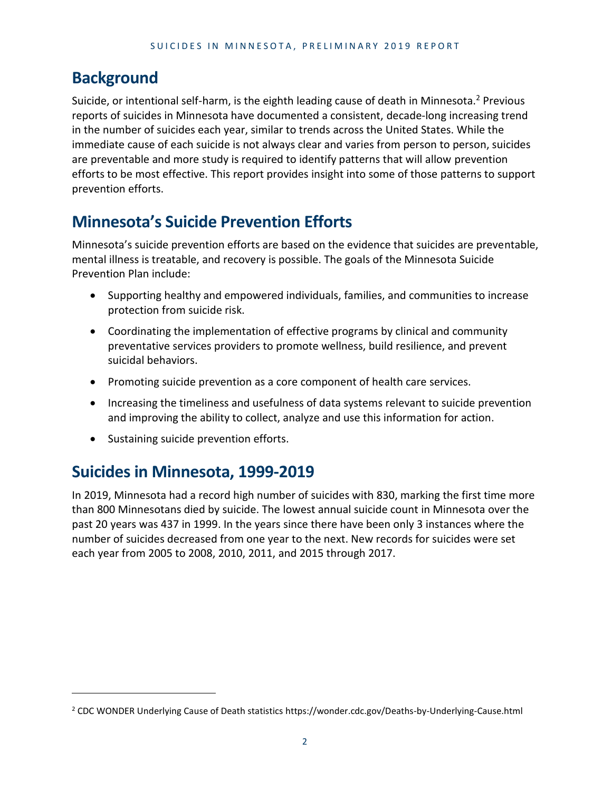### **Background**

Suicide, or intentional self-harm, is the eighth leading cause of death in Minnesota.<sup>2</sup> Previous reports of suicides in Minnesota have documented a consistent, decade-long increasing trend in the number of suicides each year, similar to trends across the United States. While the immediate cause of each suicide is not always clear and varies from person to person, suicides are preventable and more study is required to identify patterns that will allow prevention efforts to be most effective. This report provides insight into some of those patterns to support prevention efforts.

## **Minnesota's Suicide Prevention Efforts**

Minnesota's suicide prevention efforts are based on the evidence that suicides are preventable, mental illness is treatable, and recovery is possible. The goals of the Minnesota Suicide Prevention Plan include:

- Supporting healthy and empowered individuals, families, and communities to increase protection from suicide risk.
- Coordinating the implementation of effective programs by clinical and community preventative services providers to promote wellness, build resilience, and prevent suicidal behaviors.
- Promoting suicide prevention as a core component of health care services.
- Increasing the timeliness and usefulness of data systems relevant to suicide prevention and improving the ability to collect, analyze and use this information for action.
- Sustaining suicide prevention efforts.

## **Suicides in Minnesota, 1999-2019**

In 2019, Minnesota had a record high number of suicides with 830, marking the first time more than 800 Minnesotans died by suicide. The lowest annual suicide count in Minnesota over the past 20 years was 437 in 1999. In the years since there have been only 3 instances where the number of suicides decreased from one year to the next. New records for suicides were set each year from 2005 to 2008, 2010, 2011, and 2015 through 2017.

<sup>2</sup> CDC WONDER Underlying Cause of Death statistics https://wonder.cdc.gov/Deaths-by-Underlying-Cause.html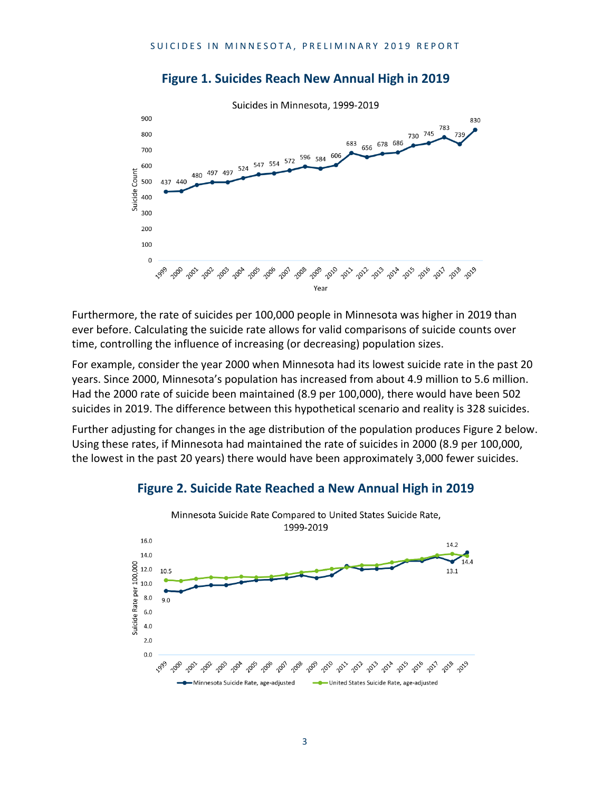

#### **Figure 1. Suicides Reach New Annual High in 2019**

Furthermore, the rate of suicides per 100,000 people in Minnesota was higher in 2019 than ever before. Calculating the suicide rate allows for valid comparisons of suicide counts over time, controlling the influence of increasing (or decreasing) population sizes.

For example, consider the year 2000 when Minnesota had its lowest suicide rate in the past 20 years. Since 2000, Minnesota's population has increased from about 4.9 million to 5.6 million. Had the 2000 rate of suicide been maintained (8.9 per 100,000), there would have been 502 suicides in 2019. The difference between this hypothetical scenario and reality is 328 suicides.

Further adjusting for changes in the age distribution of the population produces Figure 2 below. Using these rates, if Minnesota had maintained the rate of suicides in 2000 (8.9 per 100,000, the lowest in the past 20 years) there would have been approximately 3,000 fewer suicides.



#### **Figure 2. Suicide Rate Reached a New Annual High in 2019**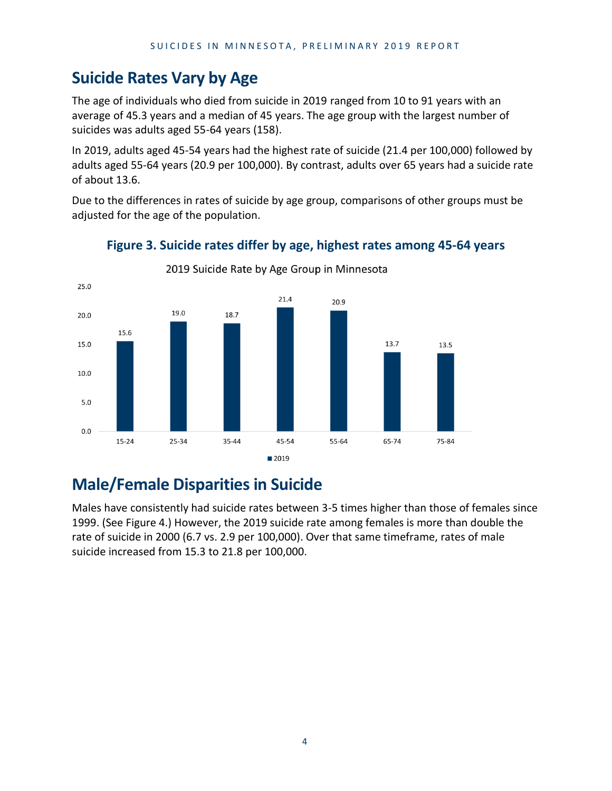## **Suicide Rates Vary by Age**

The age of individuals who died from suicide in 2019 ranged from 10 to 91 years with an average of 45.3 years and a median of 45 years. The age group with the largest number of suicides was adults aged 55-64 years (158).

In 2019, adults aged 45-54 years had the highest rate of suicide (21.4 per 100,000) followed by adults aged 55-64 years (20.9 per 100,000). By contrast, adults over 65 years had a suicide rate of about 13.6.

Due to the differences in rates of suicide by age group, comparisons of other groups must be adjusted for the age of the population.



#### **Figure 3. Suicide rates differ by age, highest rates among 45-64 years**

## **Male/Female Disparities in Suicide**

Males have consistently had suicide rates between 3-5 times higher than those of females since 1999. (See Figure 4.) However, the 2019 suicide rate among females is more than double the rate of suicide in 2000 (6.7 vs. 2.9 per 100,000). Over that same timeframe, rates of male suicide increased from 15.3 to 21.8 per 100,000.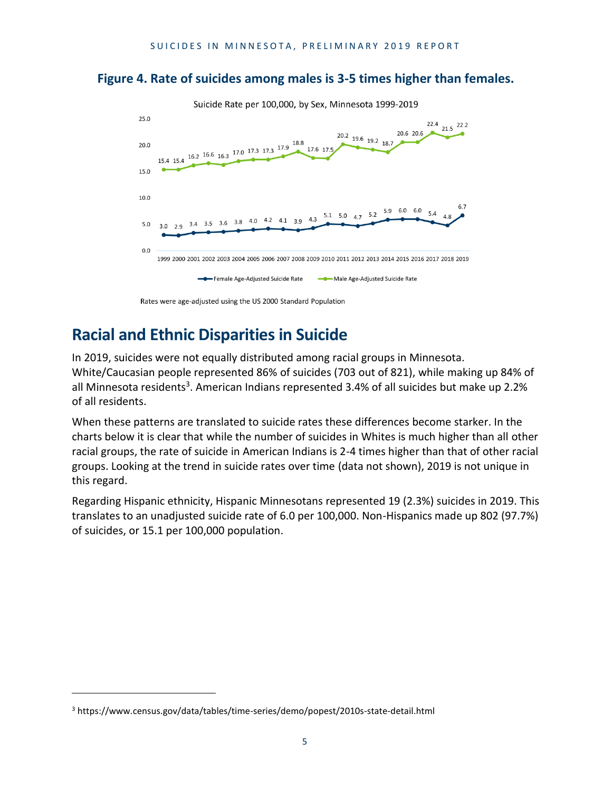#### **Figure 4. Rate of suicides among males is 3-5 times higher than females.**



## **Racial and Ethnic Disparities in Suicide**

In 2019, suicides were not equally distributed among racial groups in Minnesota. White/Caucasian people represented 86% of suicides (703 out of 821), while making up 84% of all Minnesota residents<sup>3</sup>. American Indians represented 3.4% of all suicides but make up 2.2% of all residents.

When these patterns are translated to suicide rates these differences become starker. In the charts below it is clear that while the number of suicides in Whites is much higher than all other racial groups, the rate of suicide in American Indians is 2-4 times higher than that of other racial groups. Looking at the trend in suicide rates over time (data not shown), 2019 is not unique in this regard.

Regarding Hispanic ethnicity, Hispanic Minnesotans represented 19 (2.3%) suicides in 2019. This translates to an unadjusted suicide rate of 6.0 per 100,000. Non-Hispanics made up 802 (97.7%) of suicides, or 15.1 per 100,000 population.

<sup>3</sup> https://www.census.gov/data/tables/time-series/demo/popest/2010s-state-detail.html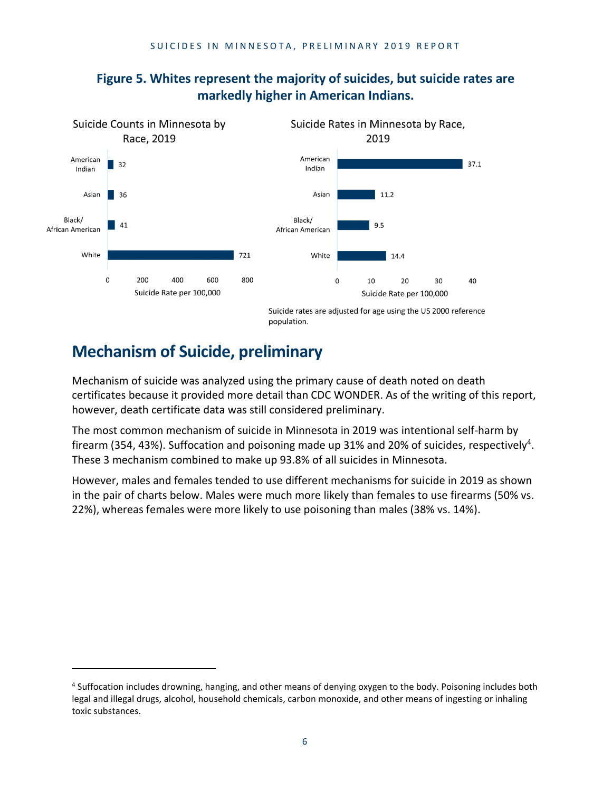

#### **Figure 5. Whites represent the majority of suicides, but suicide rates are markedly higher in American Indians.**

## **Mechanism of Suicide, preliminary**

Mechanism of suicide was analyzed using the primary cause of death noted on death certificates because it provided more detail than CDC WONDER. As of the writing of this report, however, death certificate data was still considered preliminary.

The most common mechanism of suicide in Minnesota in 2019 was intentional self-harm by firearm (354, 43%). Suffocation and poisoning made up 31% and 20% of suicides, respectively<sup>4</sup>. These 3 mechanism combined to make up 93.8% of all suicides in Minnesota.

However, males and females tended to use different mechanisms for suicide in 2019 as shown in the pair of charts below. Males were much more likely than females to use firearms (50% vs. 22%), whereas females were more likely to use poisoning than males (38% vs. 14%).

<sup>&</sup>lt;sup>4</sup> Suffocation includes drowning, hanging, and other means of denying oxygen to the body. Poisoning includes both legal and illegal drugs, alcohol, household chemicals, carbon monoxide, and other means of ingesting or inhaling toxic substances.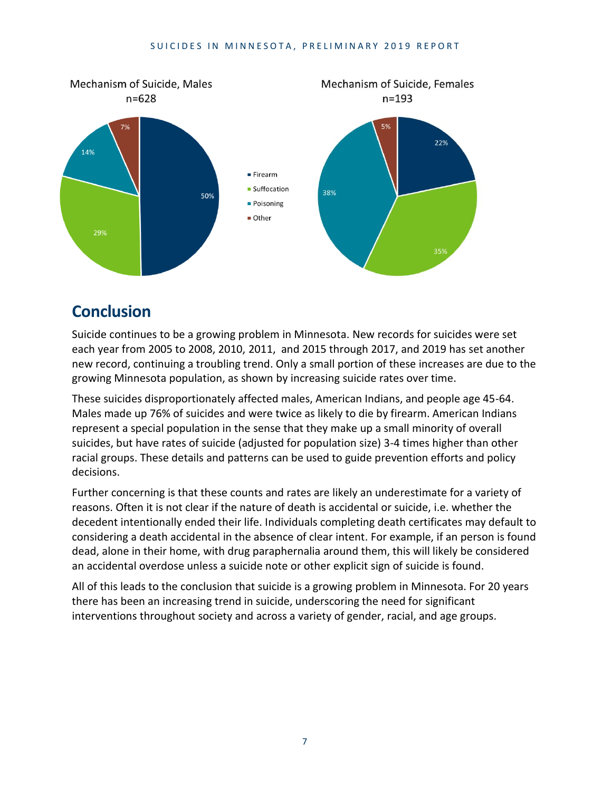#### SUICIDES IN MINNESOTA, PRELIMINARY 2019 REPORT



### **Conclusion**

Suicide continues to be a growing problem in Minnesota. New records for suicides were set each year from 2005 to 2008, 2010, 2011, and 2015 through 2017, and 2019 has set another new record, continuing a troubling trend. Only a small portion of these increases are due to the growing Minnesota population, as shown by increasing suicide rates over time.

These suicides disproportionately affected males, American Indians, and people age 45-64. Males made up 76% of suicides and were twice as likely to die by firearm. American Indians represent a special population in the sense that they make up a small minority of overall suicides, but have rates of suicide (adjusted for population size) 3-4 times higher than other racial groups. These details and patterns can be used to guide prevention efforts and policy decisions.

Further concerning is that these counts and rates are likely an underestimate for a variety of reasons. Often it is not clear if the nature of death is accidental or suicide, i.e. whether the decedent intentionally ended their life. Individuals completing death certificates may default to considering a death accidental in the absence of clear intent. For example, if an person is found dead, alone in their home, with drug paraphernalia around them, this will likely be considered an accidental overdose unless a suicide note or other explicit sign of suicide is found.

All of this leads to the conclusion that suicide is a growing problem in Minnesota. For 20 years there has been an increasing trend in suicide, underscoring the need for significant interventions throughout society and across a variety of gender, racial, and age groups.